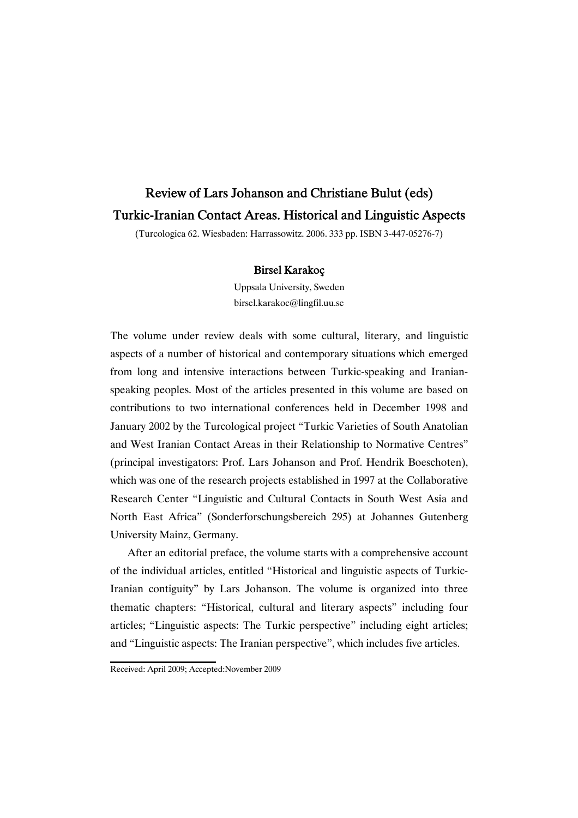# Review of Lars Johanson and Christiane Bulut (eds) Turkic-Iranian Contact Areas. Historical and Linguistic Aspects

(Turcologica 62. Wiesbaden: Harrassowitz. 2006. 333 pp. ISBN 3-447-05276-7)

# Birsel Karakoç

Uppsala University, Sweden birsel.karakoc@lingfil.uu.se

The volume under review deals with some cultural, literary, and linguistic aspects of a number of historical and contemporary situations which emerged from long and intensive interactions between Turkic-speaking and Iranianspeaking peoples. Most of the articles presented in this volume are based on contributions to two international conferences held in December 1998 and January 2002 by the Turcological project "Turkic Varieties of South Anatolian and West Iranian Contact Areas in their Relationship to Normative Centres" (principal investigators: Prof. Lars Johanson and Prof. Hendrik Boeschoten), which was one of the research projects established in 1997 at the Collaborative Research Center "Linguistic and Cultural Contacts in South West Asia and North East Africa" (Sonderforschungsbereich 295) at Johannes Gutenberg University Mainz, Germany.

After an editorial preface, the volume starts with a comprehensive account of the individual articles, entitled "Historical and linguistic aspects of Turkic-Iranian contiguity" by Lars Johanson. The volume is organized into three thematic chapters: "Historical, cultural and literary aspects" including four articles; "Linguistic aspects: The Turkic perspective" including eight articles; and "Linguistic aspects: The Iranian perspective", which includes five articles.

Received: April 2009; Accepted:November 2009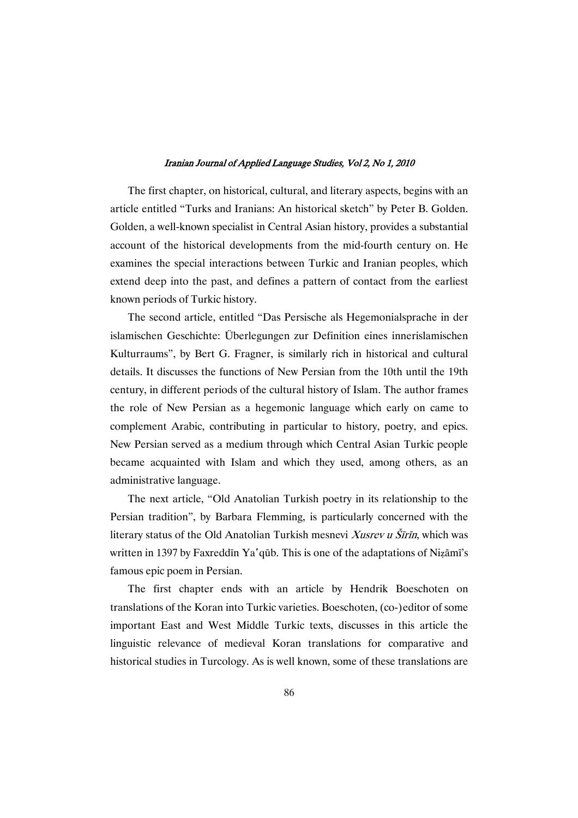The first chapter, on historical, cultural, and literary aspects, begins with an article entitled "Turks and Iranians: An historical sketch" by Peter B. Golden. Golden, a well-known specialist in Central Asian history, provides a substantial account of the historical developments from the mid-fourth century on. He examines the special interactions between Turkic and Iranian peoples, which extend deep into the past, and defines a pattern of contact from the earliest known periods of Turkic history.

The second article, entitled "Das Persische als Hegemonialsprache in der islamischen Geschichte: Überlegungen zur Definition eines innerislamischen Kulturraums", by Bert G. Fragner, is similarly rich in historical and cultural details. It discusses the functions of New Persian from the 10th until the 19th century, in different periods of the cultural history of Islam. The author frames the role of New Persian as a hegemonic language which early on came to complement Arabic, contributing in particular to history, poetry, and epics. New Persian served as a medium through which Central Asian Turkic people became acquainted with Islam and which they used, among others, as an administrative language.

The next article, "Old Anatolian Turkish poetry in its relationship to the Persian tradition", by Barbara Flemming, is particularly concerned with the literary status of the Old Anatolian Turkish mesnevi Xusrev u Šīrīn, which was written in 1397 by Faxreddīn Ya'qūb. This is one of the adaptations of Nizāmī's famous epic poem in Persian.

The first chapter ends with an article by Hendrik Boeschoten on translations of the Koran into Turkic varieties. Boeschoten, (co-)editor of some important East and West Middle Turkic texts, discusses in this article the linguistic relevance of medieval Koran translations for comparative and historical studies in Turcology. As is well known, some of these translations are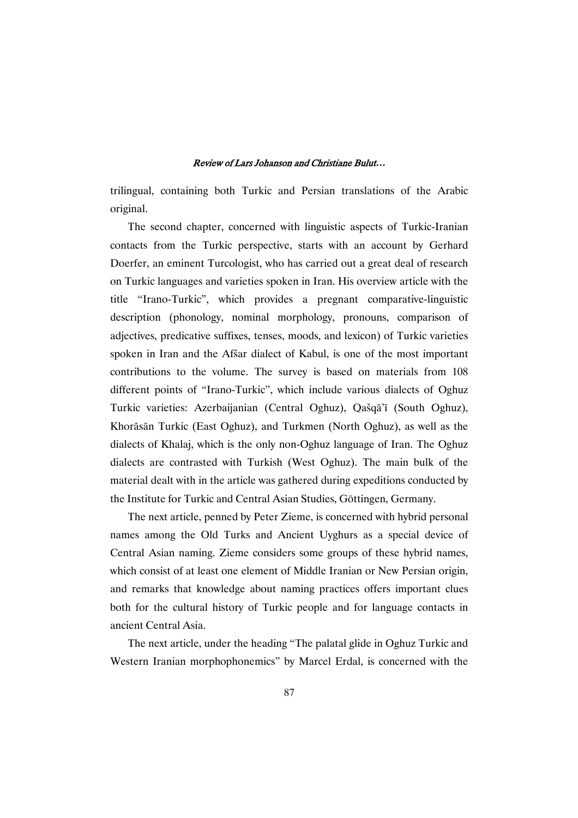## ReviewofLarsJohansonandChristianeBulut*…*

trilingual, containing both Turkic and Persian translations of the Arabic original.

The second chapter, concerned with linguistic aspects of Turkic-Iranian contacts from the Turkic perspective, starts with an account by Gerhard Doerfer, an eminent Turcologist, who has carried out a great deal of research on Turkic languages and varieties spoken in Iran. His overview article with the title "Irano-Turkic", which provides a pregnant comparative-linguistic description (phonology, nominal morphology, pronouns, comparison of adjectives, predicative suffixes, tenses, moods, and lexicon) of Turkic varieties spoken in Iran and the Afšar dialect of Kabul, is one of the most important contributions to the volume. The survey is based on materials from 108 different points of "Irano-Turkic", which include various dialects of Oghuz Turkic varieties: Azerbaijanian (Central Oghuz), Qašqā'ī (South Oghuz), Khorāsān Turkic (East Oghuz), and Turkmen (North Oghuz), as well as the dialects of Khalaj, which is the only non-Oghuz language of Iran. The Oghuz dialects are contrasted with Turkish (West Oghuz). The main bulk of the material dealt with in the article was gathered during expeditions conducted by the Institute for Turkic and Central Asian Studies, Göttingen, Germany.

The next article, penned by Peter Zieme, is concerned with hybrid personal names among the Old Turks and Ancient Uyghurs as a special device of Central Asian naming. Zieme considers some groups of these hybrid names, which consist of at least one element of Middle Iranian or New Persian origin, and remarks that knowledge about naming practices offers important clues both for the cultural history of Turkic people and for language contacts in ancient Central Asia.

The next article, under the heading "The palatal glide in Oghuz Turkic and Western Iranian morphophonemics" by Marcel Erdal, is concerned with the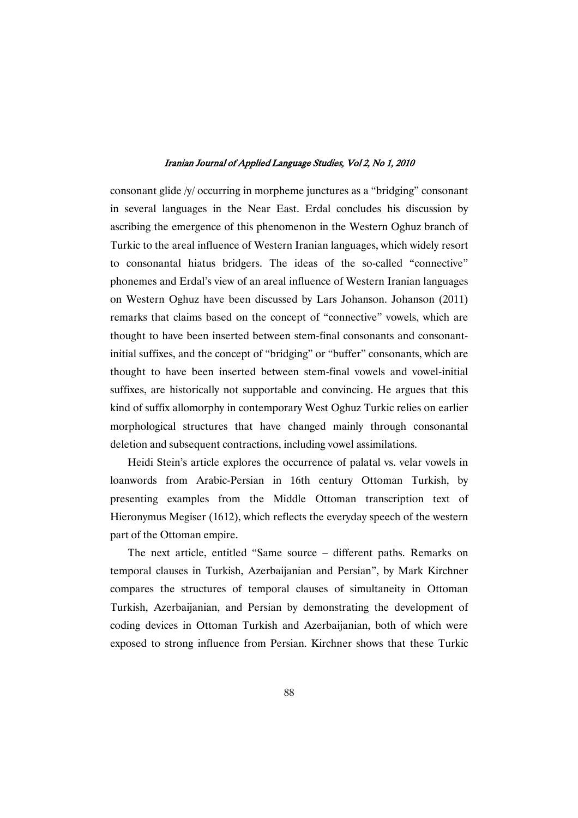consonant glide /y/ occurring in morpheme junctures as a "bridging" consonant in several languages in the Near East. Erdal concludes his discussion by ascribing the emergence of this phenomenon in the Western Oghuz branch of Turkic to the areal influence of Western Iranian languages, which widely resort to consonantal hiatus bridgers. The ideas of the so-called "connective" phonemes and Erdal's view of an areal influence of Western Iranian languages on Western Oghuz have been discussed by Lars Johanson. Johanson (2011) remarks that claims based on the concept of "connective" vowels, which are thought to have been inserted between stem-final consonants and consonantinitial suffixes, and the concept of "bridging" or "buffer" consonants, which are thought to have been inserted between stem-final vowels and vowel-initial suffixes, are historically not supportable and convincing. He argues that this kind of suffix allomorphy in contemporary West Oghuz Turkic relies on earlier morphological structures that have changed mainly through consonantal deletion and subsequent contractions, including vowel assimilations.

Heidi Stein's article explores the occurrence of palatal vs. velar vowels in loanwords from Arabic-Persian in 16th century Ottoman Turkish, by presenting examples from the Middle Ottoman transcription text of Hieronymus Megiser (1612), which reflects the everyday speech of the western part of the Ottoman empire.

The next article, entitled "Same source – different paths. Remarks on temporal clauses in Turkish, Azerbaijanian and Persian", by Mark Kirchner compares the structures of temporal clauses of simultaneity in Ottoman Turkish, Azerbaijanian, and Persian by demonstrating the development of coding devices in Ottoman Turkish and Azerbaijanian, both of which were exposed to strong influence from Persian. Kirchner shows that these Turkic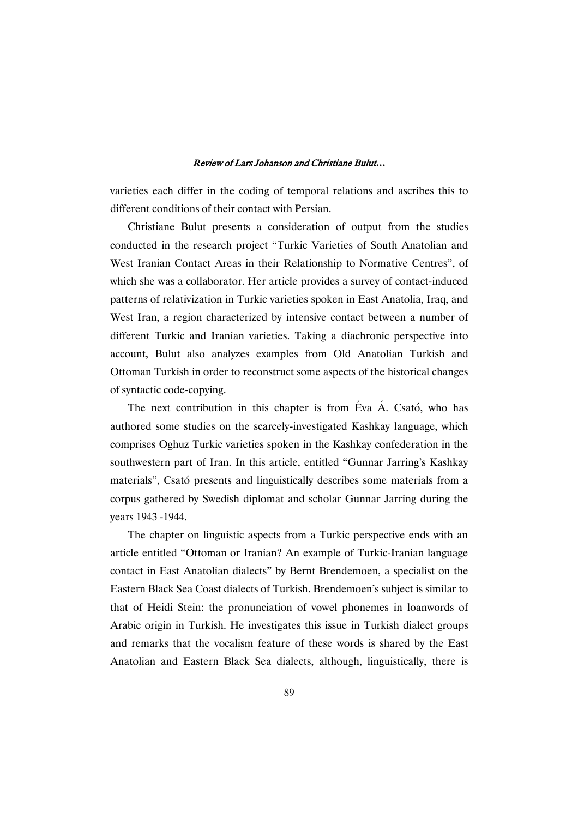# ReviewofLarsJohansonandChristianeBulut*…*

varieties each differ in the coding of temporal relations and ascribes this to different conditions of their contact with Persian.

Christiane Bulut presents a consideration of output from the studies conducted in the research project "Turkic Varieties of South Anatolian and West Iranian Contact Areas in their Relationship to Normative Centres", of which she was a collaborator. Her article provides a survey of contact-induced patterns of relativization in Turkic varieties spoken in East Anatolia, Iraq, and West Iran, a region characterized by intensive contact between a number of different Turkic and Iranian varieties. Taking a diachronic perspective into account, Bulut also analyzes examples from Old Anatolian Turkish and Ottoman Turkish in order to reconstruct some aspects of the historical changes of syntactic code-copying.

The next contribution in this chapter is from Éva Á. Csató, who has authored some studies on the scarcely-investigated Kashkay language, which comprises Oghuz Turkic varieties spoken in the Kashkay confederation in the southwestern part of Iran. In this article, entitled "Gunnar Jarring's Kashkay materials", Csató presents and linguistically describes some materials from a corpus gathered by Swedish diplomat and scholar Gunnar Jarring during the years 1943 -1944.

The chapter on linguistic aspects from a Turkic perspective ends with an article entitled "Ottoman or Iranian? An example of Turkic-Iranian language contact in East Anatolian dialects" by Bernt Brendemoen, a specialist on the Eastern Black Sea Coast dialects of Turkish. Brendemoen's subject is similar to that of Heidi Stein: the pronunciation of vowel phonemes in loanwords of Arabic origin in Turkish. He investigates this issue in Turkish dialect groups and remarks that the vocalism feature of these words is shared by the East Anatolian and Eastern Black Sea dialects, although, linguistically, there is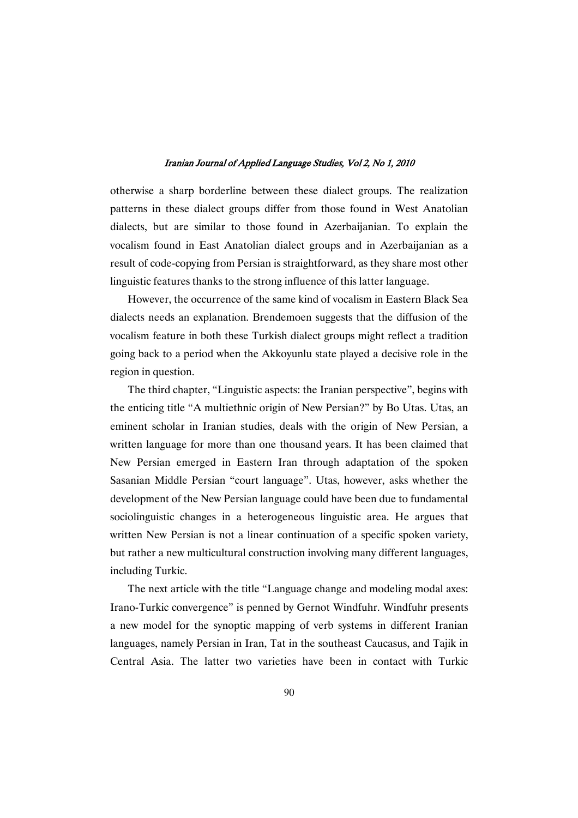otherwise a sharp borderline between these dialect groups. The realization patterns in these dialect groups differ from those found in West Anatolian dialects, but are similar to those found in Azerbaijanian. To explain the vocalism found in East Anatolian dialect groups and in Azerbaijanian as a result of code-copying from Persian is straightforward, as they share most other linguistic features thanks to the strong influence of this latter language.

However, the occurrence of the same kind of vocalism in Eastern Black Sea dialects needs an explanation. Brendemoen suggests that the diffusion of the vocalism feature in both these Turkish dialect groups might reflect a tradition going back to a period when the Akkoyunlu state played a decisive role in the region in question.

The third chapter, "Linguistic aspects: the Iranian perspective", begins with the enticing title "A multiethnic origin of New Persian?" by Bo Utas. Utas, an eminent scholar in Iranian studies, deals with the origin of New Persian, a written language for more than one thousand years. It has been claimed that New Persian emerged in Eastern Iran through adaptation of the spoken Sasanian Middle Persian "court language". Utas, however, asks whether the development of the New Persian language could have been due to fundamental sociolinguistic changes in a heterogeneous linguistic area. He argues that written New Persian is not a linear continuation of a specific spoken variety, but rather a new multicultural construction involving many different languages, including Turkic.

The next article with the title "Language change and modeling modal axes: Irano-Turkic convergence" is penned by Gernot Windfuhr. Windfuhr presents a new model for the synoptic mapping of verb systems in different Iranian languages, namely Persian in Iran, Tat in the southeast Caucasus, and Tajik in Central Asia. The latter two varieties have been in contact with Turkic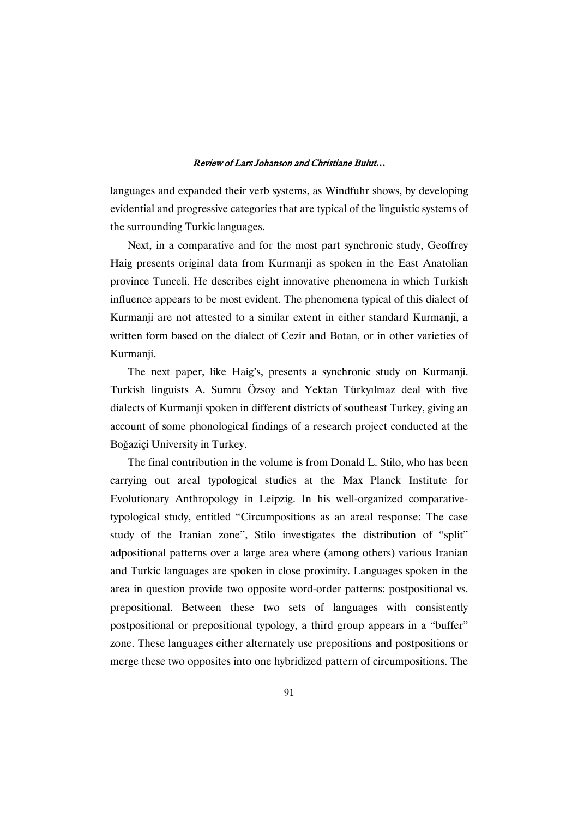### ReviewofLarsJohansonandChristianeBulut*…*

languages and expanded their verb systems, as Windfuhr shows, by developing evidential and progressive categories that are typical of the linguistic systems of the surrounding Turkic languages.

Next, in a comparative and for the most part synchronic study, Geoffrey Haig presents original data from Kurmanji as spoken in the East Anatolian province Tunceli. He describes eight innovative phenomena in which Turkish influence appears to be most evident. The phenomena typical of this dialect of Kurmanji are not attested to a similar extent in either standard Kurmanji, a written form based on the dialect of Cezir and Botan, or in other varieties of Kurmanji.

The next paper, like Haig's, presents a synchronic study on Kurmanji. Turkish linguists A. Sumru Özsov and Yektan Türkyılmaz deal with five dialects of Kurmanji spoken in different districts of southeast Turkey, giving an account of some phonological findings of a research project conducted at the Boğaziçi University in Turkey.

The final contribution in the volume is from Donald L. Stilo, who has been carrying out areal typological studies at the Max Planck Institute for Evolutionary Anthropology in Leipzig. In his well-organized comparativetypological study, entitled "Circumpositions as an areal response: The case study of the Iranian zone", Stilo investigates the distribution of "split" adpositional patterns over a large area where (among others) various Iranian and Turkic languages are spoken in close proximity. Languages spoken in the area in question provide two opposite word-order patterns: postpositional vs. prepositional. Between these two sets of languages with consistently postpositional or prepositional typology, a third group appears in a "buffer" zone. These languages either alternately use prepositions and postpositions or merge these two opposites into one hybridized pattern of circumpositions. The